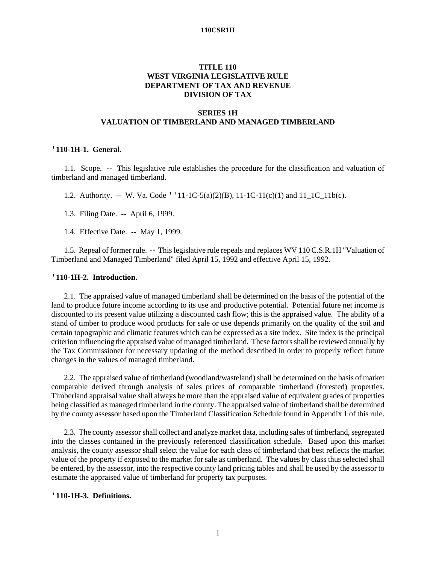# **TITLE 110 WEST VIRGINIA LEGISLATIVE RULE DEPARTMENT OF TAX AND REVENUE DIVISION OF TAX**

# **SERIES 1H VALUATION OF TIMBERLAND AND MANAGED TIMBERLAND**

### **'110-1H-1. General.**

1.1. Scope. -- This legislative rule establishes the procedure for the classification and valuation of timberland and managed timberland.

1.2. Authority. -- W. Va. Code ''11-1C-5(a)(2)(B), 11-1C-11(c)(1) and 11\_1C\_11b(c).

1.3. Filing Date. -- April 6, 1999.

1.4. Effective Date. -- May 1, 1999.

1.5. Repeal of former rule. -- This legislative rule repeals and replaces WV 110 C.S.R.1H "Valuation of Timberland and Managed Timberland" filed April 15, 1992 and effective April 15, 1992.

### **'110-1H-2. Introduction.**

2.1. The appraised value of managed timberland shall be determined on the basis of the potential of the land to produce future income according to its use and productive potential. Potential future net income is discounted to its present value utilizing a discounted cash flow; this is the appraised value. The ability of a stand of timber to produce wood products for sale or use depends primarily on the quality of the soil and certain topographic and climatic features which can be expressed as a site index. Site index is the principal criterion influencing the appraised value of managed timberland. These factors shall be reviewed annually by the Tax Commissioner for necessary updating of the method described in order to properly reflect future changes in the values of managed timberland.

2.2. The appraised value of timberland (woodland/wasteland) shall be determined on the basis of market comparable derived through analysis of sales prices of comparable timberland (forested) properties. Timberland appraisal value shall always be more than the appraised value of equivalent grades of properties being classified as managed timberland in the county. The appraised value of timberland shall be determined by the county assessor based upon the Timberland Classification Schedule found in Appendix 1 of this rule.

2.3. The county assessor shall collect and analyze market data, including sales of timberland, segregated into the classes contained in the previously referenced classification schedule. Based upon this market analysis, the county assessor shall select the value for each class of timberland that best reflects the market value of the property if exposed to the market for sale as timberland. The values by class thus selected shall be entered, by the assessor, into the respective county land pricing tables and shall be used by the assessor to estimate the appraised value of timberland for property tax purposes.

### **'110-1H-3. Definitions.**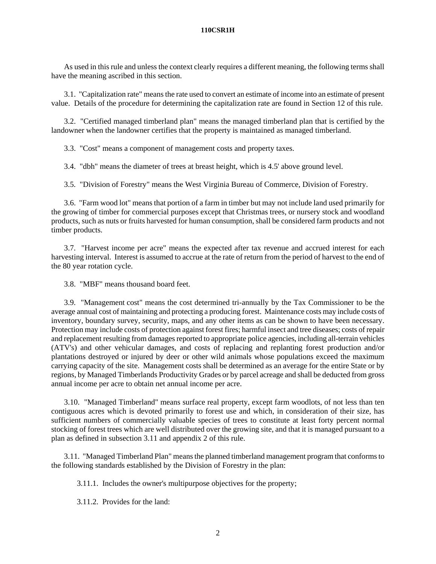As used in this rule and unless the context clearly requires a different meaning, the following terms shall have the meaning ascribed in this section.

3.1. "Capitalization rate" means the rate used to convert an estimate of income into an estimate of present value. Details of the procedure for determining the capitalization rate are found in Section 12 of this rule.

3.2. "Certified managed timberland plan" means the managed timberland plan that is certified by the landowner when the landowner certifies that the property is maintained as managed timberland.

3.3. "Cost" means a component of management costs and property taxes.

3.4. "dbh" means the diameter of trees at breast height, which is 4.5' above ground level.

3.5. "Division of Forestry" means the West Virginia Bureau of Commerce, Division of Forestry.

3.6. "Farm wood lot" means that portion of a farm in timber but may not include land used primarily for the growing of timber for commercial purposes except that Christmas trees, or nursery stock and woodland products, such as nuts or fruits harvested for human consumption, shall be considered farm products and not timber products.

3.7. "Harvest income per acre" means the expected after tax revenue and accrued interest for each harvesting interval. Interest is assumed to accrue at the rate of return from the period of harvest to the end of the 80 year rotation cycle.

3.8. "MBF" means thousand board feet.

3.9. "Management cost" means the cost determined tri-annually by the Tax Commissioner to be the average annual cost of maintaining and protecting a producing forest. Maintenance costs may include costs of inventory, boundary survey, security, maps, and any other items as can be shown to have been necessary. Protection may include costs of protection against forest fires; harmful insect and tree diseases; costs of repair and replacement resulting from damages reported to appropriate police agencies, including all-terrain vehicles (ATV's) and other vehicular damages, and costs of replacing and replanting forest production and/or plantations destroyed or injured by deer or other wild animals whose populations exceed the maximum carrying capacity of the site. Management costs shall be determined as an average for the entire State or by regions, by Managed Timberlands Productivity Grades or by parcel acreage and shall be deducted from gross annual income per acre to obtain net annual income per acre.

3.10. "Managed Timberland" means surface real property, except farm woodlots, of not less than ten contiguous acres which is devoted primarily to forest use and which, in consideration of their size, has sufficient numbers of commercially valuable species of trees to constitute at least forty percent normal stocking of forest trees which are well distributed over the growing site, and that it is managed pursuant to a plan as defined in subsection 3.11 and appendix 2 of this rule.

3.11. "Managed Timberland Plan" means the planned timberland management program that conforms to the following standards established by the Division of Forestry in the plan:

3.11.1. Includes the owner's multipurpose objectives for the property;

3.11.2. Provides for the land: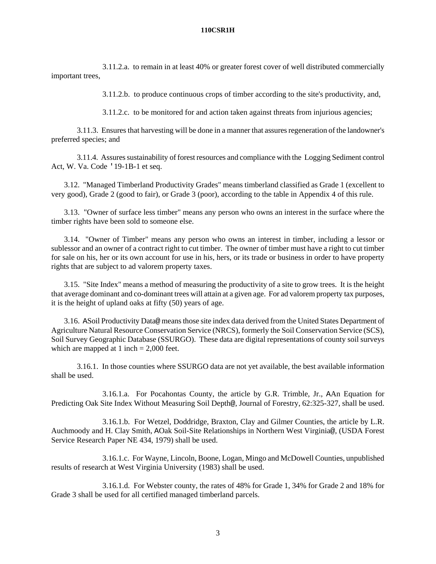3.11.2.a. to remain in at least 40% or greater forest cover of well distributed commercially important trees,

3.11.2.b. to produce continuous crops of timber according to the site's productivity, and,

3.11.2.c. to be monitored for and action taken against threats from injurious agencies;

3.11.3. Ensures that harvesting will be done in a manner that assures regeneration of the landowner's preferred species; and

3.11.4. Assures sustainability of forest resources and compliance with the Logging Sediment control Act, W. Va. Code '19-1B-1 et seq.

3.12. "Managed Timberland Productivity Grades" means timberland classified as Grade 1 (excellent to very good), Grade 2 (good to fair), or Grade 3 (poor), according to the table in Appendix 4 of this rule.

3.13. "Owner of surface less timber" means any person who owns an interest in the surface where the timber rights have been sold to someone else.

3.14. "Owner of Timber" means any person who owns an interest in timber, including a lessor or sublessor and an owner of a contract right to cut timber. The owner of timber must have a right to cut timber for sale on his, her or its own account for use in his, hers, or its trade or business in order to have property rights that are subject to ad valorem property taxes.

3.15. "Site Index" means a method of measuring the productivity of a site to grow trees. It is the height that average dominant and co-dominant trees will attain at a given age. For ad valorem property tax purposes, it is the height of upland oaks at fifty (50) years of age.

3.16. ASoil Productivity Data@ means those site index data derived from the United States Department of Agriculture Natural Resource Conservation Service (NRCS), formerly the Soil Conservation Service (SCS), Soil Survey Geographic Database (SSURGO). These data are digital representations of county soil surveys which are mapped at 1 inch  $= 2,000$  feet.

3.16.1. In those counties where SSURGO data are not yet available, the best available information shall be used.

3.16.1.a. For Pocahontas County, the article by G.R. Trimble, Jr., AAn Equation for Predicting Oak Site Index Without Measuring Soil Depth@, Journal of Forestry, 62:325-327, shall be used.

3.16.1.b. For Wetzel, Doddridge, Braxton, Clay and Gilmer Counties, the article by L.R. Auchmoody and H. Clay Smith, AOak Soil-Site Relationships in Northern West Virginia@, (USDA Forest Service Research Paper NE 434, 1979) shall be used.

3.16.1.c. For Wayne, Lincoln, Boone, Logan, Mingo and McDowell Counties, unpublished results of research at West Virginia University (1983) shall be used.

3.16.1.d. For Webster county, the rates of 48% for Grade 1, 34% for Grade 2 and 18% for Grade 3 shall be used for all certified managed timberland parcels.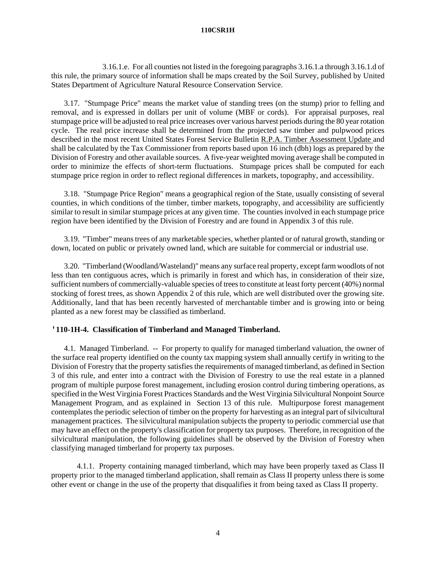3.16.1.e. For all counties not listed in the foregoing paragraphs 3.16.1.a through 3.16.1.d of this rule, the primary source of information shall be maps created by the Soil Survey, published by United States Department of Agriculture Natural Resource Conservation Service.

3.17. "Stumpage Price" means the market value of standing trees (on the stump) prior to felling and removal, and is expressed in dollars per unit of volume (MBF or cords). For appraisal purposes, real stumpage price will be adjusted to real price increases over various harvest periods during the 80 year rotation cycle. The real price increase shall be determined from the projected saw timber and pulpwood prices described in the most recent United States Forest Service Bulletin R.P.A. Timber Assessment Update and shall be calculated by the Tax Commissioner from reports based upon 16 inch (dbh) logs as prepared by the Division of Forestry and other available sources. A five-year weighted moving average shall be computed in order to minimize the effects of short-term fluctuations. Stumpage prices shall be computed for each stumpage price region in order to reflect regional differences in markets, topography, and accessibility.

3.18. "Stumpage Price Region" means a geographical region of the State, usually consisting of several counties, in which conditions of the timber, timber markets, topography, and accessibility are sufficiently similar to result in similar stumpage prices at any given time. The counties involved in each stumpage price region have been identified by the Division of Forestry and are found in Appendix 3 of this rule.

3.19. "Timber" means trees of any marketable species, whether planted or of natural growth, standing or down, located on public or privately owned land, which are suitable for commercial or industrial use.

3.20. "Timberland (Woodland/Wasteland)" means any surface real property, except farm woodlots of not less than ten contiguous acres, which is primarily in forest and which has, in consideration of their size, sufficient numbers of commercially-valuable species of trees to constitute at least forty percent (40%) normal stocking of forest trees, as shown Appendix 2 of this rule, which are well distributed over the growing site. Additionally, land that has been recently harvested of merchantable timber and is growing into or being planted as a new forest may be classified as timberland.

# **'110-1H-4. Classification of Timberland and Managed Timberland.**

4.1. Managed Timberland. -- For property to qualify for managed timberland valuation, the owner of the surface real property identified on the county tax mapping system shall annually certify in writing to the Division of Forestry that the property satisfies the requirements of managed timberland, as defined in Section 3 of this rule, and enter into a contract with the Division of Forestry to use the real estate in a planned program of multiple purpose forest management, including erosion control during timbering operations, as specified in the West Virginia Forest Practices Standards and the West Virginia Silvicultural Nonpoint Source Management Program, and as explained in Section 13 of this rule. Multipurpose forest management contemplates the periodic selection of timber on the property for harvesting as an integral part of silvicultural management practices. The silvicultural manipulation subjects the property to periodic commercial use that may have an effect on the property's classification for property tax purposes. Therefore, in recognition of the silvicultural manipulation, the following guidelines shall be observed by the Division of Forestry when classifying managed timberland for property tax purposes.

4.1.1. Property containing managed timberland, which may have been properly taxed as Class II property prior to the managed timberland application, shall remain as Class II property unless there is some other event or change in the use of the property that disqualifies it from being taxed as Class II property.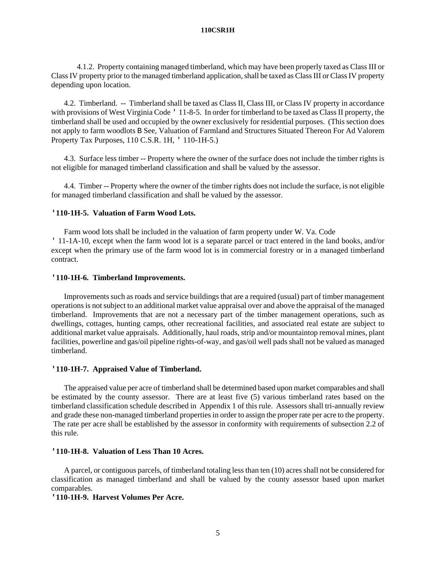4.1.2. Property containing managed timberland, which may have been properly taxed as Class III or Class IV property prior to the managed timberland application, shall be taxed as Class III or Class IV property depending upon location.

4.2. Timberland. -- Timberland shall be taxed as Class II, Class III, or Class IV property in accordance with provisions of West Virginia Code ' 11-8-5. In order for timberland to be taxed as Class II property, the timberland shall be used and occupied by the owner exclusively for residential purposes. (This section does not apply to farm woodlots B See, Valuation of Farmland and Structures Situated Thereon For Ad Valorem Property Tax Purposes, 110 C.S.R. 1H, ' 110-1H-5.)

4.3. Surface less timber -- Property where the owner of the surface does not include the timber rights is not eligible for managed timberland classification and shall be valued by the assessor.

4.4. Timber -- Property where the owner of the timber rights does not include the surface, is not eligible for managed timberland classification and shall be valued by the assessor.

### **'110-1H-5. Valuation of Farm Wood Lots.**

Farm wood lots shall be included in the valuation of farm property under W. Va. Code ' 11-1A-10, except when the farm wood lot is a separate parcel or tract entered in the land books, and/or except when the primary use of the farm wood lot is in commercial forestry or in a managed timberland contract.

### **'110-1H-6. Timberland Improvements.**

Improvements such as roads and service buildings that are a required (usual) part of timber management operations is not subject to an additional market value appraisal over and above the appraisal of the managed timberland. Improvements that are not a necessary part of the timber management operations, such as dwellings, cottages, hunting camps, other recreational facilities, and associated real estate are subject to additional market value appraisals. Additionally, haul roads, strip and/or mountaintop removal mines, plant facilities, powerline and gas/oil pipeline rights-of-way, and gas/oil well pads shall not be valued as managed timberland.

### **'110-1H-7. Appraised Value of Timberland.**

The appraised value per acre of timberland shall be determined based upon market comparables and shall be estimated by the county assessor. There are at least five (5) various timberland rates based on the timberland classification schedule described in Appendix 1 of this rule. Assessors shall tri-annually review and grade these non-managed timberland properties in order to assign the proper rate per acre to the property. The rate per acre shall be established by the assessor in conformity with requirements of subsection 2.2 of this rule.

### **'110-1H-8. Valuation of Less Than 10 Acres.**

A parcel, or contiguous parcels, of timberland totaling less than ten (10) acres shall not be considered for classification as managed timberland and shall be valued by the county assessor based upon market comparables.

# **'110-1H-9. Harvest Volumes Per Acre.**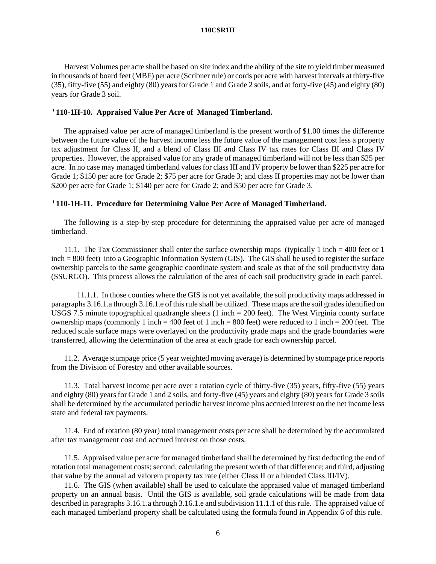Harvest Volumes per acre shall be based on site index and the ability of the site to yield timber measured in thousands of board feet (MBF) per acre (Scribner rule) or cords per acre with harvest intervals at thirty-five (35), fifty-five (55) and eighty (80) years for Grade 1 and Grade 2 soils, and at forty-five (45) and eighty (80) years for Grade 3 soil.

#### **'110-1H-10. Appraised Value Per Acre of Managed Timberland.**

The appraised value per acre of managed timberland is the present worth of \$1.00 times the difference between the future value of the harvest income less the future value of the management cost less a property tax adjustment for Class II, and a blend of Class III and Class IV tax rates for Class III and Class IV properties. However, the appraised value for any grade of managed timberland will not be less than \$25 per acre. In no case may managed timberland values for class III and IV property be lower than \$225 per acre for Grade 1; \$150 per acre for Grade 2; \$75 per acre for Grade 3; and class II properties may not be lower than \$200 per acre for Grade 1; \$140 per acre for Grade 2; and \$50 per acre for Grade 3.

### **'110-1H-11. Procedure for Determining Value Per Acre of Managed Timberland.**

The following is a step-by-step procedure for determining the appraised value per acre of managed timberland.

11.1. The Tax Commissioner shall enter the surface ownership maps (typically 1 inch = 400 feet or 1 inch = 800 feet) into a Geographic Information System (GIS). The GIS shall be used to register the surface ownership parcels to the same geographic coordinate system and scale as that of the soil productivity data (SSURGO). This process allows the calculation of the area of each soil productivity grade in each parcel.

11.1.1. In those counties where the GIS is not yet available, the soil productivity maps addressed in paragraphs 3.16.1.a through 3.16.1.e of this rule shall be utilized. These maps are the soil grades identified on USGS 7.5 minute topographical quadrangle sheets (1 inch = 200 feet). The West Virginia county surface ownership maps (commonly 1 inch = 400 feet of 1 inch = 800 feet) were reduced to 1 inch = 200 feet. The reduced scale surface maps were overlayed on the productivity grade maps and the grade boundaries were transferred, allowing the determination of the area at each grade for each ownership parcel.

11.2. Average stumpage price (5 year weighted moving average) is determined by stumpage price reports from the Division of Forestry and other available sources.

11.3. Total harvest income per acre over a rotation cycle of thirty-five (35) years, fifty-five (55) years and eighty (80) years for Grade 1 and 2 soils, and forty-five (45) years and eighty (80) years for Grade 3 soils shall be determined by the accumulated periodic harvest income plus accrued interest on the net income less state and federal tax payments.

11.4. End of rotation (80 year) total management costs per acre shall be determined by the accumulated after tax management cost and accrued interest on those costs.

11.5. Appraised value per acre for managed timberland shall be determined by first deducting the end of rotation total management costs; second, calculating the present worth of that difference; and third, adjusting that value by the annual ad valorem property tax rate (either Class II or a blended Class III/IV).

11.6. The GIS (when available) shall be used to calculate the appraised value of managed timberland property on an annual basis. Until the GIS is available, soil grade calculations will be made from data described in paragraphs 3.16.1.a through 3.16.1.e and subdivision 11.1.1 of this rule. The appraised value of each managed timberland property shall be calculated using the formula found in Appendix 6 of this rule.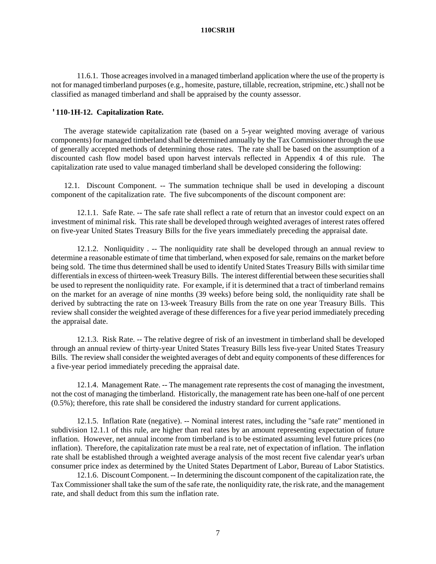11.6.1. Those acreages involved in a managed timberland application where the use of the property is not for managed timberland purposes (e.g., homesite, pasture, tillable, recreation, stripmine, etc.) shall not be classified as managed timberland and shall be appraised by the county assessor.

### **'110-1H-12. Capitalization Rate.**

The average statewide capitalization rate (based on a 5-year weighted moving average of various components) for managed timberland shall be determined annually by the Tax Commissioner through the use of generally accepted methods of determining those rates. The rate shall be based on the assumption of a discounted cash flow model based upon harvest intervals reflected in Appendix 4 of this rule. The capitalization rate used to value managed timberland shall be developed considering the following:

12.1. Discount Component. -- The summation technique shall be used in developing a discount component of the capitalization rate. The five subcomponents of the discount component are:

12.1.1. Safe Rate. -- The safe rate shall reflect a rate of return that an investor could expect on an investment of minimal risk. This rate shall be developed through weighted averages of interest rates offered on five-year United States Treasury Bills for the five years immediately preceding the appraisal date.

12.1.2. Nonliquidity . -- The nonliquidity rate shall be developed through an annual review to determine a reasonable estimate of time that timberland, when exposed for sale, remains on the market before being sold. The time thus determined shall be used to identify United States Treasury Bills with similar time differentials in excess of thirteen-week Treasury Bills. The interest differential between these securities shall be used to represent the nonliquidity rate. For example, if it is determined that a tract of timberland remains on the market for an average of nine months (39 weeks) before being sold, the nonliquidity rate shall be derived by subtracting the rate on 13-week Treasury Bills from the rate on one year Treasury Bills. This review shall consider the weighted average of these differences for a five year period immediately preceding the appraisal date.

12.1.3. Risk Rate. -- The relative degree of risk of an investment in timberland shall be developed through an annual review of thirty-year United States Treasury Bills less five-year United States Treasury Bills. The review shall consider the weighted averages of debt and equity components of these differences for a five-year period immediately preceding the appraisal date.

12.1.4. Management Rate. -- The management rate represents the cost of managing the investment, not the cost of managing the timberland. Historically, the management rate has been one-half of one percent (0.5%); therefore, this rate shall be considered the industry standard for current applications.

12.1.5. Inflation Rate (negative). -- Nominal interest rates, including the "safe rate" mentioned in subdivision 12.1.1 of this rule, are higher than real rates by an amount representing expectation of future inflation. However, net annual income from timberland is to be estimated assuming level future prices (no inflation). Therefore, the capitalization rate must be a real rate, net of expectation of inflation. The inflation rate shall be established through a weighted average analysis of the most recent five calendar year's urban consumer price index as determined by the United States Department of Labor, Bureau of Labor Statistics.

12.1.6. Discount Component. -- In determining the discount component of the capitalization rate, the Tax Commissioner shall take the sum of the safe rate, the nonliquidity rate, the risk rate, and the management rate, and shall deduct from this sum the inflation rate.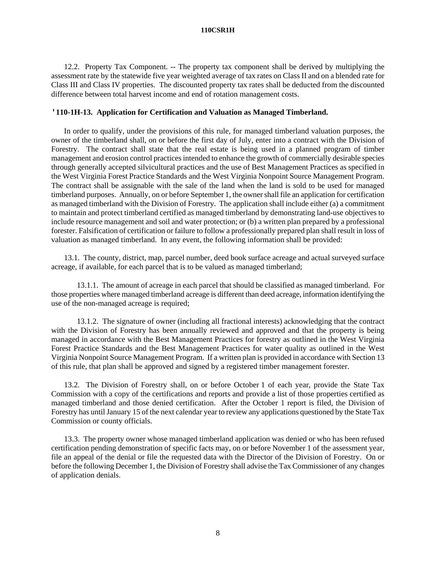12.2. Property Tax Component. -- The property tax component shall be derived by multiplying the assessment rate by the statewide five year weighted average of tax rates on Class II and on a blended rate for Class III and Class IV properties. The discounted property tax rates shall be deducted from the discounted difference between total harvest income and end of rotation management costs.

### **'110-1H-13. Application for Certification and Valuation as Managed Timberland.**

In order to qualify, under the provisions of this rule, for managed timberland valuation purposes, the owner of the timberland shall, on or before the first day of July, enter into a contract with the Division of Forestry. The contract shall state that the real estate is being used in a planned program of timber management and erosion control practices intended to enhance the growth of commercially desirable species through generally accepted silvicultural practices and the use of Best Management Practices as specified in the West Virginia Forest Practice Standards and the West Virginia Nonpoint Source Management Program. The contract shall be assignable with the sale of the land when the land is sold to be used for managed timberland purposes. Annually, on or before September 1, the owner shall file an application for certification as managed timberland with the Division of Forestry. The application shall include either (a) a commitment to maintain and protect timberland certified as managed timberland by demonstrating land-use objectives to include resource management and soil and water protection; or (b) a written plan prepared by a professional forester. Falsification of certification or failure to follow a professionally prepared plan shall result in loss of valuation as managed timberland. In any event, the following information shall be provided:

13.1. The county, district, map, parcel number, deed book surface acreage and actual surveyed surface acreage, if available, for each parcel that is to be valued as managed timberland;

13.1.1. The amount of acreage in each parcel that should be classified as managed timberland. For those properties where managed timberland acreage is different than deed acreage, information identifying the use of the non-managed acreage is required;

13.1.2. The signature of owner (including all fractional interests) acknowledging that the contract with the Division of Forestry has been annually reviewed and approved and that the property is being managed in accordance with the Best Management Practices for forestry as outlined in the West Virginia Forest Practice Standards and the Best Management Practices for water quality as outlined in the West Virginia Nonpoint Source Management Program. If a written plan is provided in accordance with Section 13 of this rule, that plan shall be approved and signed by a registered timber management forester.

13.2. The Division of Forestry shall, on or before October 1 of each year, provide the State Tax Commission with a copy of the certifications and reports and provide a list of those properties certified as managed timberland and those denied certification. After the October 1 report is filed, the Division of Forestry has until January 15 of the next calendar year to review any applications questioned by the State Tax Commission or county officials.

13.3. The property owner whose managed timberland application was denied or who has been refused certification pending demonstration of specific facts may, on or before November 1 of the assessment year, file an appeal of the denial or file the requested data with the Director of the Division of Forestry. On or before the following December 1, the Division of Forestry shall advise the Tax Commissioner of any changes of application denials.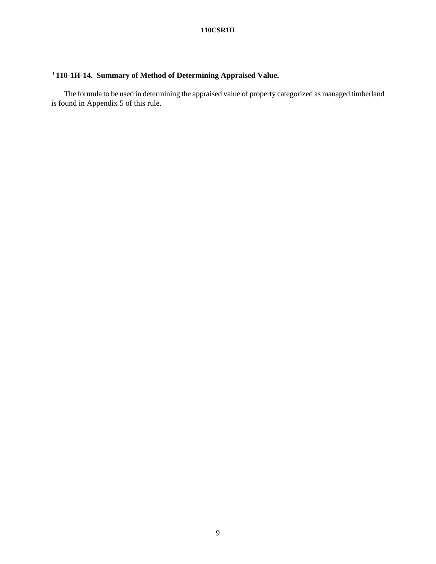# **'110-1H-14. Summary of Method of Determining Appraised Value.**

The formula to be used in determining the appraised value of property categorized as managed timberland is found in Appendix 5 of this rule.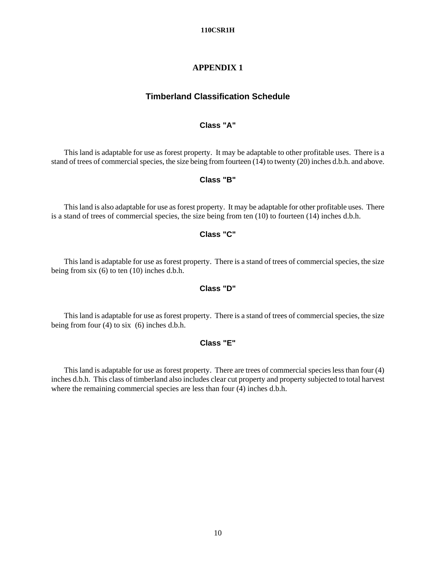# **APPENDIX 1**

# **Timberland Classification Schedule**

# **Class "A"**

This land is adaptable for use as forest property. It may be adaptable to other profitable uses. There is a stand of trees of commercial species, the size being from fourteen (14) to twenty (20) inches d.b.h. and above.

# **Class "B"**

This land is also adaptable for use as forest property. It may be adaptable for other profitable uses. There is a stand of trees of commercial species, the size being from ten (10) to fourteen (14) inches d.b.h.

# **Class "C"**

This land is adaptable for use as forest property. There is a stand of trees of commercial species, the size being from six (6) to ten (10) inches d.b.h.

## **Class "D"**

This land is adaptable for use as forest property. There is a stand of trees of commercial species, the size being from four (4) to six (6) inches d.b.h.

## **Class "E"**

This land is adaptable for use as forest property. There are trees of commercial species less than four (4) inches d.b.h. This class of timberland also includes clear cut property and property subjected to total harvest where the remaining commercial species are less than four (4) inches d.b.h.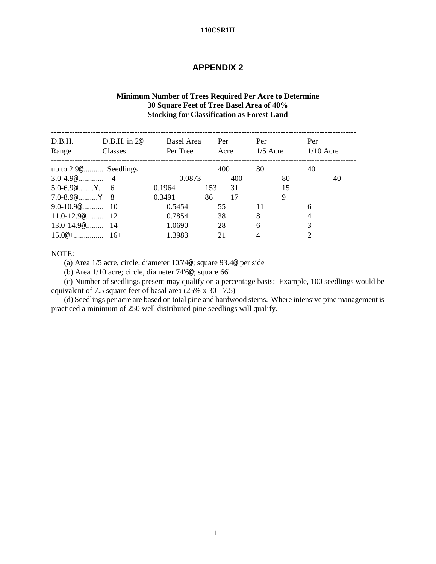# **APPENDIX 2**

# **Minimum Number of Trees Required Per Acre to Determine 30 Square Feet of Tree Basel Area of 40% Stocking for Classification as Forest Land**

| D.B.H.<br>Range                             | $D.B.H.$ in $2@$<br>Classes | <b>Basel Area</b><br>Per Tree | Per<br>Acre |     | Per<br>$1/5$ Acre |    | Per<br>$1/10$ Acre |    |
|---------------------------------------------|-----------------------------|-------------------------------|-------------|-----|-------------------|----|--------------------|----|
| up to 2.9 <sup>o</sup> Seedlings            |                             |                               |             | 400 | 80                |    | 40                 |    |
|                                             |                             | 0.0873                        |             | 400 |                   | 80 |                    | 40 |
|                                             |                             | 0.1964                        | 153         | 31  |                   | 15 |                    |    |
| $7.0 - 8.9$ $\circ$ $Y \quad 8$             |                             | 0.3491                        | 86          | 17  |                   | 9  |                    |    |
| $9.0 - 10.9$ <sup><math>@</math></sup> $10$ |                             | 0.5454                        | 55          |     | 11                |    | 6                  |    |
| $11.0 - 12.9$ @ 12                          |                             | 0.7854                        | 38          |     | 8                 |    | $\overline{4}$     |    |
| $13.0 - 14.9$ @ 14                          |                             | 1.0690                        | 28          |     | 6                 |    | 3                  |    |
|                                             |                             | 1.3983                        | 21          |     | 4                 |    |                    |    |

### NOTE:

(a) Area 1/5 acre, circle, diameter 105'4@; square 93.4@ per side

(b) Area 1/10 acre; circle, diameter 74'6@; square 66'

(c) Number of seedlings present may qualify on a percentage basis; Example, 100 seedlings would be equivalent of 7.5 square feet of basal area (25% x 30 - 7.5)

(d) Seedlings per acre are based on total pine and hardwood stems. Where intensive pine management is practiced a minimum of 250 well distributed pine seedlings will qualify.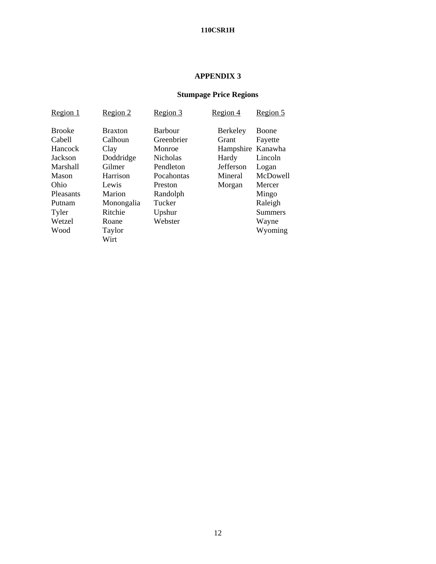# **APPENDIX 3**

# **Stumpage Price Regions**

| Region 1         | Region 2       | Region 3        | Region 4         | Region 5       |
|------------------|----------------|-----------------|------------------|----------------|
| <b>Brooke</b>    | <b>Braxton</b> | <b>Barbour</b>  | <b>Berkeley</b>  | Boone          |
| Cabell           | Calhoun        | Greenbrier      | Grant            | Fayette        |
| Hancock          | Clay           | Monroe          | Hampshire        | Kanawha        |
| Jackson          | Doddridge      | <b>Nicholas</b> | Hardy            | Lincoln        |
| Marshall         | Gilmer         | Pendleton       | <b>Jefferson</b> | Logan          |
| Mason            | Harrison       | Pocahontas      | Mineral          | McDowell       |
| Ohio             | Lewis          | Preston         | Morgan           | Mercer         |
| <b>Pleasants</b> | Marion         | Randolph        |                  | Mingo          |
| Putnam           | Monongalia     | Tucker          |                  | Raleigh        |
| Tyler            | Ritchie        | Upshur          |                  | <b>Summers</b> |
| Wetzel           | Roane          | Webster         |                  | Wayne          |
| Wood             | Taylor         |                 |                  | Wyoming        |
|                  | Wirt           |                 |                  |                |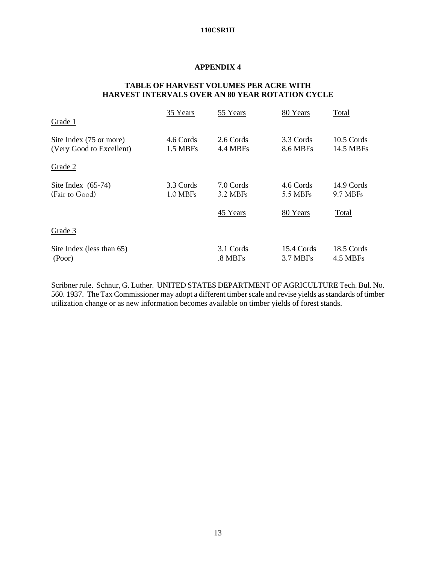# **APPENDIX 4**

# **TABLE OF HARVEST VOLUMES PER ACRE WITH HARVEST INTERVALS OVER AN 80 YEAR ROTATION CYCLE**

| Grade 1                                             | 35 Years              | 55 Years              | 80 Years               | Total                     |
|-----------------------------------------------------|-----------------------|-----------------------|------------------------|---------------------------|
| Site Index (75 or more)<br>(Very Good to Excellent) | 4.6 Cords<br>1.5 MBFs | 2.6 Cords<br>4.4 MBFs | 3.3 Cords<br>8.6 MBFs  | $10.5$ Cords<br>14.5 MBFs |
| Grade 2                                             |                       |                       |                        |                           |
| Site Index $(65-74)$<br>(Fair to Good)              | 3.3 Cords<br>1.0 MBFs | 7.0 Cords<br>3.2 MBFs | 4.6 Cords<br>5.5 MBFs  | 14.9 Cords<br>9.7 MBFs    |
|                                                     |                       | 45 Years              | 80 Years               | Total                     |
| Grade 3                                             |                       |                       |                        |                           |
| Site Index (less than 65)<br>(Poor)                 |                       | 3.1 Cords<br>.8 MBFs  | 15.4 Cords<br>3.7 MBFs | 18.5 Cords<br>4.5 MBFs    |

Scribner rule. Schnur, G. Luther. UNITED STATES DEPARTMENT OF AGRICULTURE Tech. Bul. No. 560. 1937. The Tax Commissioner may adopt a different timber scale and revise yields as standards of timber utilization change or as new information becomes available on timber yields of forest stands.